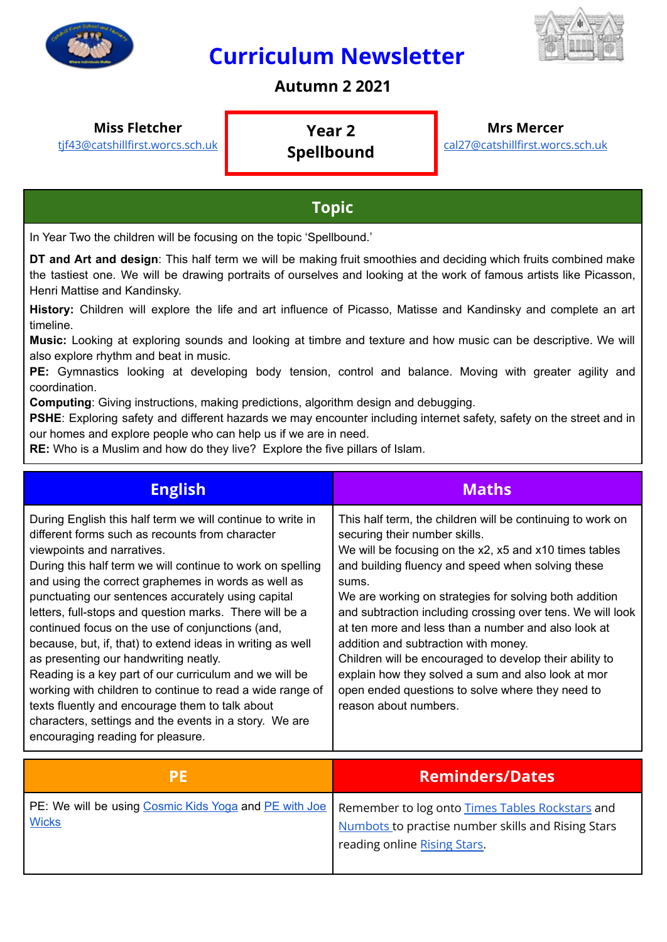

# **Curriculum Newsletter**



#### **Autumn 2 2021**

#### **Miss Fletcher** [tjf43@catshillfirst.worcs.sch.uk](mailto:tjf43@catshillfirst.worcs.sch.uk) **Year 2 Spellbound Mrs Mercer** [cal27@catshillfirst.worcs.sch.uk](mailto:cal27@catshillfirst.worcs.sch.uk) **Topic** In Year Two the children will be focusing on the topic 'Spellbound.'

**DT and Art and design**: This half term we will be making fruit smoothies and deciding which fruits combined make the tastiest one. We will be drawing portraits of ourselves and looking at the work of famous artists like Picasson, Henri Mattise and Kandinsky.

**History:** Children will explore the life and art influence of Picasso, Matisse and Kandinsky and complete an art timeline.

**Music:** Looking at exploring sounds and looking at timbre and texture and how music can be descriptive. We will also explore rhythm and beat in music.

PE: Gymnastics looking at developing body tension, control and balance. Moving with greater agility and coordination.

**Computing**: Giving instructions, making predictions, algorithm design and debugging.

**PSHE:** Exploring safety and different hazards we may encounter including internet safety, safety on the street and in our homes and explore people who can help us if we are in need.

**RE:** Who is a Muslim and how do they live? Explore the five pillars of Islam.

| <b>English</b>                                                                                                                                                                                                                                                                                                                                                                                                                                                                                                                                                                                                                                                                                                                                                                                                        | <b>Maths</b>                                                                                                                                                                                                                                                                                                                                                                                                                                                                                                                                                                                                                             |
|-----------------------------------------------------------------------------------------------------------------------------------------------------------------------------------------------------------------------------------------------------------------------------------------------------------------------------------------------------------------------------------------------------------------------------------------------------------------------------------------------------------------------------------------------------------------------------------------------------------------------------------------------------------------------------------------------------------------------------------------------------------------------------------------------------------------------|------------------------------------------------------------------------------------------------------------------------------------------------------------------------------------------------------------------------------------------------------------------------------------------------------------------------------------------------------------------------------------------------------------------------------------------------------------------------------------------------------------------------------------------------------------------------------------------------------------------------------------------|
| During English this half term we will continue to write in<br>different forms such as recounts from character<br>viewpoints and narratives.<br>During this half term we will continue to work on spelling<br>and using the correct graphemes in words as well as<br>punctuating our sentences accurately using capital<br>letters, full-stops and question marks. There will be a<br>continued focus on the use of conjunctions (and,<br>because, but, if, that) to extend ideas in writing as well<br>as presenting our handwriting neatly.<br>Reading is a key part of our curriculum and we will be<br>working with children to continue to read a wide range of<br>texts fluently and encourage them to talk about<br>characters, settings and the events in a story. We are<br>encouraging reading for pleasure. | This half term, the children will be continuing to work on<br>securing their number skills.<br>We will be focusing on the x2, x5 and x10 times tables<br>and building fluency and speed when solving these<br>sums.<br>We are working on strategies for solving both addition<br>and subtraction including crossing over tens. We will look<br>at ten more and less than a number and also look at<br>addition and subtraction with money.<br>Children will be encouraged to develop their ability to<br>explain how they solved a sum and also look at mor<br>open ended questions to solve where they need to<br>reason about numbers. |
| PЕ                                                                                                                                                                                                                                                                                                                                                                                                                                                                                                                                                                                                                                                                                                                                                                                                                    | <b>Reminders/Dates</b>                                                                                                                                                                                                                                                                                                                                                                                                                                                                                                                                                                                                                   |

| PE: We will be using Cosmic Kids Yoga and PE with Joe   Remember to log onto Times Tables Rockstars and<br><b>Wicks</b> | Numbots to practise number skills and Rising Stars |
|-------------------------------------------------------------------------------------------------------------------------|----------------------------------------------------|
|                                                                                                                         | reading online Rising Stars.                       |